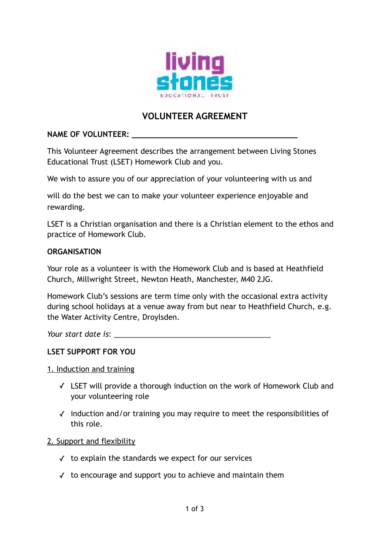

# **VOLUNTEER AGREEMENT**

#### **NAME OF VOLUNTEER: \_\_\_\_\_\_\_\_\_\_\_\_\_\_\_\_\_\_\_\_\_\_\_\_\_\_\_\_\_\_\_\_\_\_\_\_**

This Volunteer Agreement describes the arrangement between Living Stones Educational Trust (LSET) Homework Club and you.

We wish to assure you of our appreciation of your volunteering with us and

will do the best we can to make your volunteer experience enjoyable and rewarding.

LSET is a Christian organisation and there is a Christian element to the ethos and practice of Homework Club.

#### **ORGANISATION**

Your role as a volunteer is with the Homework Club and is based at Heathfield Church, Millwright Street, Newton Heath, Manchester, M40 2JG.

Homework Club's sessions are term time only with the occasional extra activity during school holidays at a venue away from but near to Heathfield Church, e.g. the Water Activity Centre, Droylsden.

*Your start date is*: \_\_\_\_\_\_\_\_\_\_\_\_\_\_\_\_\_\_\_\_\_\_\_\_\_\_\_\_\_\_\_\_\_\_\_\_\_\_

# **LSET SUPPORT FOR YOU**

#### 1. Induction and training

- ✓ LSET will provide a thorough induction on the work of Homework Club and your volunteering role
- ✓ induction and/or training you may require to meet the responsibilities of this role.

# 2. Support and flexibility

- ✓ to explain the standards we expect for our services
- ✓ to encourage and support you to achieve and maintain them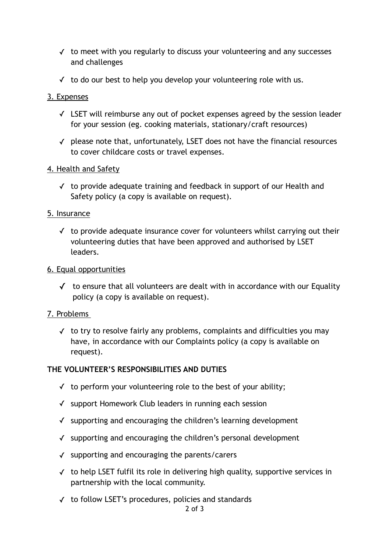- ✓ to meet with you regularly to discuss your volunteering and any successes and challenges
- $\checkmark$  to do our best to help you develop your volunteering role with us.

# 3. Expenses

- ✓ LSET will reimburse any out of pocket expenses agreed by the session leader for your session (eg. cooking materials, stationary/craft resources)
- ✓ please note that, unfortunately, LSET does not have the financial resources to cover childcare costs or travel expenses.

# 4. Health and Safety

✓ to provide adequate training and feedback in support of our Health and Safety policy (a copy is available on request).

#### 5. Insurance

 $\checkmark$  to provide adequate insurance cover for volunteers whilst carrying out their volunteering duties that have been approved and authorised by LSET leaders.

#### 6. Equal opportunities

 $\checkmark$  to ensure that all volunteers are dealt with in accordance with our Equality policy (a copy is available on request).

# 7. Problems

✓ to try to resolve fairly any problems, complaints and difficulties you may have, in accordance with our Complaints policy (a copy is available on request).

# **THE VOLUNTEER'S RESPONSIBILITIES AND DUTIES**

- $\checkmark$  to perform your volunteering role to the best of your ability;
- ✓ support Homework Club leaders in running each session
- ✓ supporting and encouraging the children's learning development
- ✓ supporting and encouraging the children's personal development
- ✓ supporting and encouraging the parents/carers
- ✓ to help LSET fulfil its role in delivering high quality, supportive services in partnership with the local community.
- ✓ to follow LSET's procedures, policies and standards